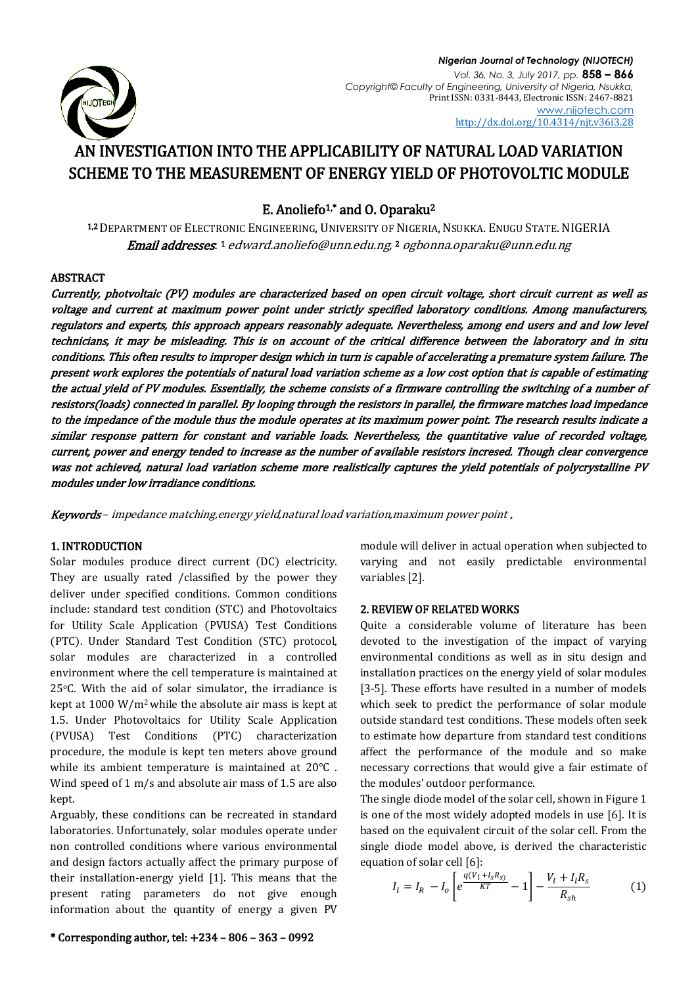

# AN INVESTIGATION INTO THE APPLICABILITY OF NATURAL LOAD VARIATION SCHEME TO THE MEASUREMENT OF ENERGY YIELD OF PHOTOVOLTIC MODULE

## E. Anoliefo<sup>1,\*</sup> and O. Oparaku<sup>2</sup>

1,2 DEPARTMENT OF ELECTRONIC ENGINEERING, UNIVERSITY OF NIGERIA, NSUKKA. ENUGU STATE. NIGERIA **Email addresses**: 1 [edward.anoliefo@unn.edu.ng,](mailto:edward.anoliefo@unn.edu.ng) 2 [ogbonna.oparaku@unn.edu.ng](mailto:ogbonna.oparaku@unn.edu.ng)

## **ABSTRACT**

Currently, photvoltaic (PV) modules are characterized based on open circuit voltage, short circuit current as well as voltage and current at maximum power point under strictly specified laboratory conditions. Among manufacturers, regulators and experts, this approach appears reasonably adequate. Nevertheless, among end users and and low level technicians, it may be misleading. This is on account of the critical difference between the laboratory and in situ conditions. This often results to improper design which in turn is capable of accelerating a premature system failure. The present work explores the potentials of natural load variation scheme as a low cost option that is capable of estimating the actual yield of PV modules. Essentially, the scheme consists of a firmware controlling the switching of a number of resistors(loads) connected in parallel. By looping through the resistors in parallel, the firmware matches load impedance to the impedance of the module thus the module operates at its maximum power point. The research results indicate a similar response pattern for constant and variable loads. Nevertheless, the quantitative value of recorded voltage, current, power and energy tended to increase as the number of available resistors incresed. Though clear convergence was not achieved, natural load variation scheme more realistically captures the yield potentials of polycrystalline PV modules under low irradiance conditions.

Keywords – impedance matching,energy yield,natural load variation,maximum power point .

## 1. INTRODUCTION

Solar modules produce direct current (DC) electricity. They are usually rated /classified by the power they deliver under specified conditions. Common conditions include: standard test condition (STC) and Photovoltaics for Utility Scale Application (PVUSA) Test Conditions (PTC). Under Standard Test Condition (STC) protocol, solar modules are characterized in a controlled environment where the cell temperature is maintained at 25oC. With the aid of solar simulator, the irradiance is kept at 1000 W/m<sup>2</sup> while the absolute air mass is kept at 1.5. Under Photovoltaics for Utility Scale Application (PVUSA) Test Conditions (PTC) characterization procedure, the module is kept ten meters above ground while its ambient temperature is maintained at 20°C . Wind speed of 1 m/s and absolute air mass of 1.5 are also kept.

Arguably, these conditions can be recreated in standard laboratories. Unfortunately, solar modules operate under non controlled conditions where various environmental and design factors actually affect the primary purpose of their installation-energy yield [1]. This means that the present rating parameters do not give enough information about the quantity of energy a given PV

module will deliver in actual operation when subjected to varying and not easily predictable environmental variables [2].

### 2. REVIEW OF RELATED WORKS

Quite a considerable volume of literature has been devoted to the investigation of the impact of varying environmental conditions as well as in situ design and installation practices on the energy yield of solar modules [3-5]. These efforts have resulted in a number of models which seek to predict the performance of solar module outside standard test conditions. These models often seek to estimate how departure from standard test conditions affect the performance of the module and so make necessary corrections that would give a fair estimate of the modules' outdoor performance.

The single diode model of the solar cell, shown in Figure 1 is one of the most widely adopted models in use [6]. It is based on the equivalent circuit of the solar cell. From the single diode model above, is derived the characteristic equation of solar cell [6]:

$$
I_{l} = I_{R} - I_{o} \left[ e^{\frac{q(V_{l} + I_{S}R_{S})}{KT}} - 1 \right] - \frac{V_{l} + I_{l}R_{S}}{R_{sh}} \tag{1}
$$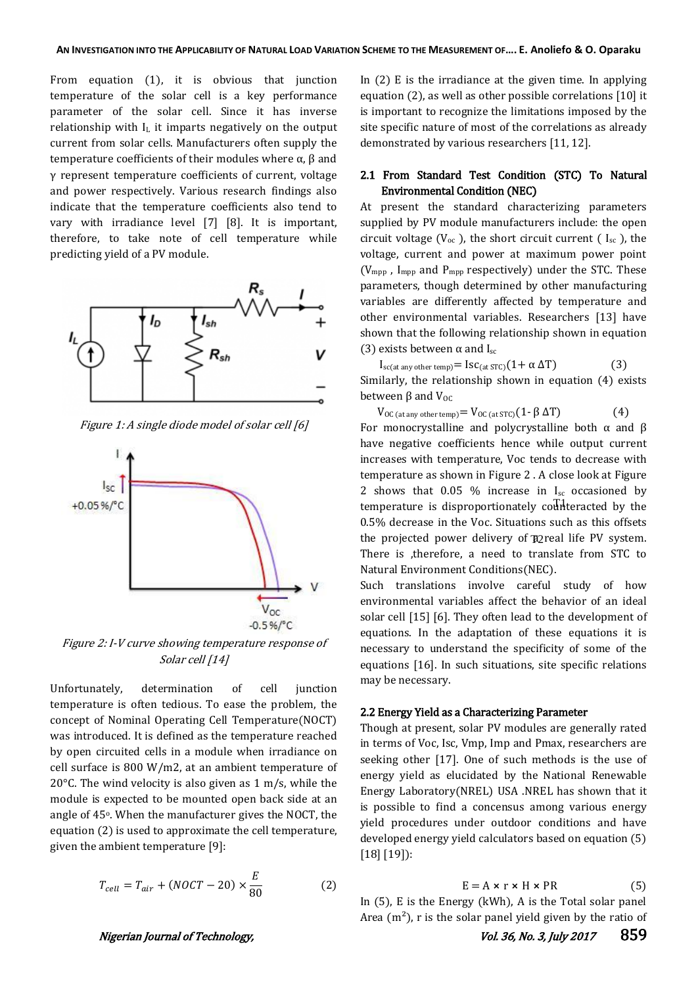From equation (1), it is obvious that junction temperature of the solar cell is a key performance parameter of the solar cell. Since it has inverse relationship with  $I_L$  it imparts negatively on the output current from solar cells. Manufacturers often supply the temperature coefficients of their modules where α, β and γ represent temperature coefficients of current, voltage and power respectively. Various research findings also indicate that the temperature coefficients also tend to vary with irradiance level [7] [8]. It is important, therefore, to take note of cell temperature while predicting yield of a PV module.



Figure 1: A single diode model of solar cell [6]



Figure 2: I-V curve showing temperature response of Solar cell [14]

Unfortunately, determination of cell junction temperature is often tedious. To ease the problem, the concept of Nominal Operating Cell Temperature(NOCT) was introduced. It is defined as the temperature reached by open circuited cells in a module when irradiance on cell surface is 800 W/m2, at an ambient temperature of 20°C. The wind velocity is also given as 1 m/s, while the module is expected to be mounted open back side at an angle of 45<sup>°</sup>. When the manufacturer gives the NOCT, the equation (2) is used to approximate the cell temperature, given the ambient temperature [9]:

$$
T_{cell} = T_{air} + (NOCT - 20) \times \frac{E}{80}
$$
 (2)

In (2) E is the irradiance at the given time. In applying equation (2), as well as other possible correlations [10] it is important to recognize the limitations imposed by the site specific nature of most of the correlations as already demonstrated by various researchers [11, 12].

## 2.1 From Standard Test Condition (STC) To Natural Environmental Condition (NEC)

At present the standard characterizing parameters supplied by PV module manufacturers include: the open circuit voltage ( $V_{\text{oc}}$ ), the short circuit current (  $I_{\text{sc}}$  ), the voltage, current and power at maximum power point ( $V_{\text{mpp}}$ , I<sub>mpp</sub> and P<sub>mpp</sub> respectively) under the STC. These parameters, though determined by other manufacturing variables are differently affected by temperature and other environmental variables. Researchers [13] have shown that the following relationship shown in equation (3) exists between  $\alpha$  and I<sub>sc</sub>

 $I_{\text{sc}(at any other temp)} = I_{\text{SC}(at STC)} (1 + \alpha \Delta T)$  (3) Similarly, the relationship shown in equation (4) exists between  $β$  and  $V_{OC}$ 

V<sub>OC (at any other temp)</sub> = V<sub>OC (at STC)</sub>(1 - β  $\Delta$ T) (4) For monocrystalline and polycrystalline both  $\alpha$  and  $\beta$ have negative coefficients hence while output current increases with temperature, Voc tends to decrease with temperature as shown in Figure 2 . A close look at Figure 2 shows that  $0.05\%$  increase in I<sub>sc</sub> occasioned by temperature is disproportionately counteracted by the 0.5% decrease in the Voc. Situations such as this offsets the projected power delivery of  $\mathbb{R}$  real life PV system. There is ,therefore, a need to translate from STC to Natural Environment Conditions(NEC).

Such translations involve careful study of how environmental variables affect the behavior of an ideal solar cell [15] [6]. They often lead to the development of equations. In the adaptation of these equations it is necessary to understand the specificity of some of the equations [16]. In such situations, site specific relations may be necessary.

#### 2.2 Energy Yield as a Characterizing Parameter

Though at present, solar PV modules are generally rated in terms of Voc, Isc, Vmp, Imp and Pmax, researchers are seeking other [17]. One of such methods is the use of energy yield as elucidated by the National Renewable Energy Laboratory(NREL) USA .NREL has shown that it is possible to find a concensus among various energy yield procedures under outdoor conditions and have developed energy yield calculators based on equation (5) [18] [19]):

$$
E = A \times r \times H \times PR
$$
 (5)

In (5), E is the Energy (kWh), A is the Total solar panel Area  $(m^2)$ , r is the solar panel yield given by the ratio of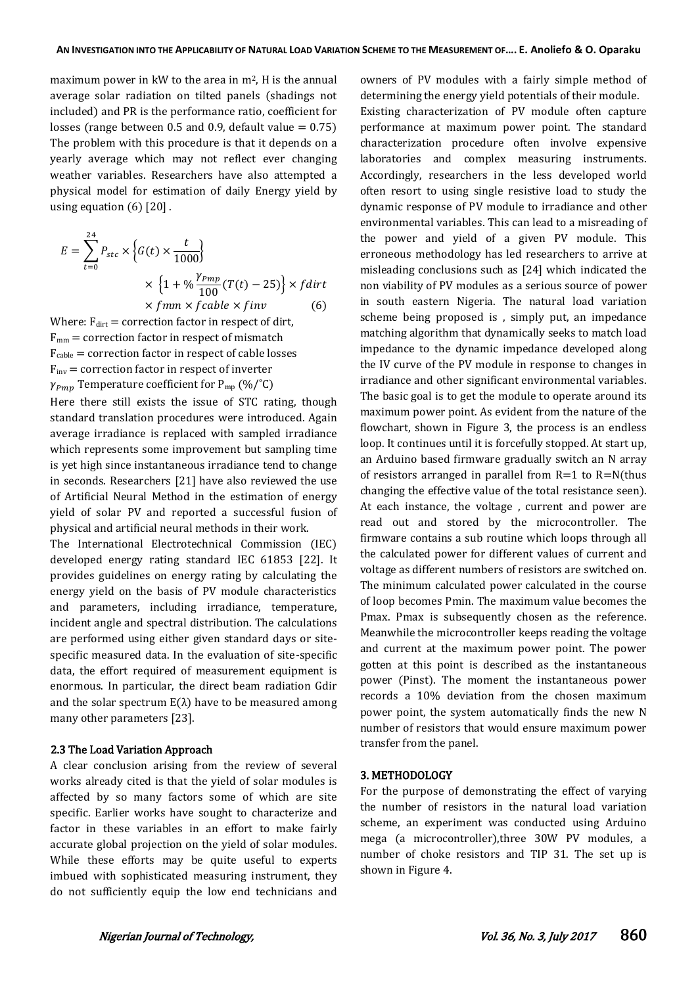maximum power in kW to the area in  $m^2$ , H is the annual average solar radiation on tilted panels (shadings not included) and PR is the performance ratio, coefficient for losses (range between 0.5 and 0.9, default value  $= 0.75$ ) The problem with this procedure is that it depends on a yearly average which may not reflect ever changing weather variables. Researchers have also attempted a physical model for estimation of daily Energy yield by using equation  $(6)$   $[20]$ .

$$
E = \sum_{t=0}^{24} P_{stc} \times \left\{ G(t) \times \frac{t}{1000} \right\}
$$
  
 
$$
\times \left\{ 1 + \% \frac{\gamma_{pmp}}{100} (T(t) - 25) \right\} \times f \, \text{dirt}
$$
  
 
$$
\times f \, \text{mm} \times f \, \text{cable} \times f \, \text{inv}
$$
 (6)

Where:  $F_{\text{dirt}} =$  correction factor in respect of dirt,  $F_{mm}$  = correction factor in respect of mismatch  $F_{\text{cable}} =$  correction factor in respect of cable losses  $F_{inv}$  = correction factor in respect of inverter  $\gamma_{Pmp}$  Temperature coefficient for P<sub>mp</sub> (%/°C)

Here there still exists the issue of STC rating, though standard translation procedures were introduced. Again average irradiance is replaced with sampled irradiance which represents some improvement but sampling time is yet high since instantaneous irradiance tend to change in seconds. Researchers [21] have also reviewed the use of Artificial Neural Method in the estimation of energy yield of solar PV and reported a successful fusion of physical and artificial neural methods in their work.

The International Electrotechnical Commission (IEC) developed energy rating standard IEC 61853 [22]. It provides guidelines on energy rating by calculating the energy yield on the basis of PV module characteristics and parameters, including irradiance, temperature, incident angle and spectral distribution. The calculations are performed using either given standard days or sitespecific measured data. In the evaluation of site-specific data, the effort required of measurement equipment is enormous. In particular, the direct beam radiation Gdir and the solar spectrum  $E(\lambda)$  have to be measured among many other parameters [23].

#### 2.3 The Load Variation Approach

A clear conclusion arising from the review of several works already cited is that the yield of solar modules is affected by so many factors some of which are site specific. Earlier works have sought to characterize and factor in these variables in an effort to make fairly accurate global projection on the yield of solar modules. While these efforts may be quite useful to experts imbued with sophisticated measuring instrument, they do not sufficiently equip the low end technicians and owners of PV modules with a fairly simple method of determining the energy yield potentials of their module. Existing characterization of PV module often capture performance at maximum power point. The standard characterization procedure often involve expensive laboratories and complex measuring instruments. Accordingly, researchers in the less developed world often resort to using single resistive load to study the dynamic response of PV module to irradiance and other environmental variables. This can lead to a misreading of the power and yield of a given PV module. This erroneous methodology has led researchers to arrive at misleading conclusions such as [24] which indicated the non viability of PV modules as a serious source of power in south eastern Nigeria. The natural load variation scheme being proposed is , simply put, an impedance matching algorithm that dynamically seeks to match load impedance to the dynamic impedance developed along the IV curve of the PV module in response to changes in irradiance and other significant environmental variables. The basic goal is to get the module to operate around its maximum power point. As evident from the nature of the flowchart, shown in Figure 3, the process is an endless loop. It continues until it is forcefully stopped. At start up, an Arduino based firmware gradually switch an N array of resistors arranged in parallel from  $R=1$  to  $R=N$ (thus changing the effective value of the total resistance seen). At each instance, the voltage , current and power are read out and stored by the microcontroller. The firmware contains a sub routine which loops through all the calculated power for different values of current and voltage as different numbers of resistors are switched on. The minimum calculated power calculated in the course of loop becomes Pmin. The maximum value becomes the Pmax. Pmax is subsequently chosen as the reference. Meanwhile the microcontroller keeps reading the voltage and current at the maximum power point. The power gotten at this point is described as the instantaneous power (Pinst). The moment the instantaneous power records a 10% deviation from the chosen maximum power point, the system automatically finds the new N number of resistors that would ensure maximum power transfer from the panel.

#### 3. METHODOLOGY

For the purpose of demonstrating the effect of varying the number of resistors in the natural load variation scheme, an experiment was conducted using Arduino mega (a microcontroller),three 30W PV modules, a number of choke resistors and TIP 31. The set up is shown in Figure 4.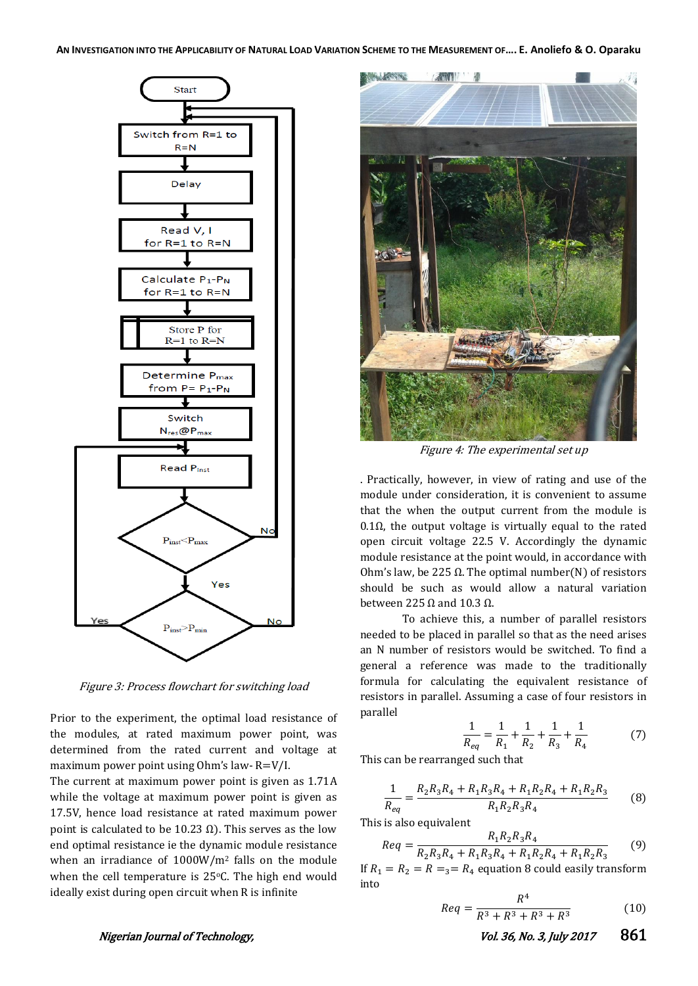

Figure 3: Process flowchart for switching load

Prior to the experiment, the optimal load resistance of the modules, at rated maximum power point, was determined from the rated current and voltage at maximum power point using Ohm's law- R=V/I.

The current at maximum power point is given as 1.71A while the voltage at maximum power point is given as 17.5V, hence load resistance at rated maximum power point is calculated to be 10.23 Ω). This serves as the low end optimal resistance ie the dynamic module resistance when an irradiance of 1000W/m<sup>2</sup> falls on the module when the cell temperature is 25°C. The high end would ideally exist during open circuit when R is infinite



Figure 4: The experimental set up

. Practically, however, in view of rating and use of the module under consideration, it is convenient to assume that the when the output current from the module is  $0.1Ω$ , the output voltage is virtually equal to the rated open circuit voltage 22.5 V. Accordingly the dynamic module resistance at the point would, in accordance with Ohm's law, be 225  $Ω$ . The optimal number(N) of resistors should be such as would allow a natural variation between 225  $Ω$  and 10.3  $Ω$ .

To achieve this, a number of parallel resistors needed to be placed in parallel so that as the need arises an N number of resistors would be switched. To find a general a reference was made to the traditionally formula for calculating the equivalent resistance of resistors in parallel. Assuming a case of four resistors in parallel

$$
\frac{1}{R_{eq}} = \frac{1}{R_1} + \frac{1}{R_2} + \frac{1}{R_3} + \frac{1}{R_4}
$$
 (7)

This can be rearranged such that

$$
\frac{1}{R_{eq}} = \frac{R_2 R_3 R_4 + R_1 R_3 R_4 + R_1 R_2 R_4 + R_1 R_2 R_3}{R_1 R_2 R_3 R_4} \tag{8}
$$

This is also equivalent

$$
Req = \frac{R_1 R_2 R_3 R_4}{R_2 R_3 R_4 + R_1 R_3 R_4 + R_1 R_2 R_4 + R_1 R_2 R_3}
$$
(9)

If  $R_1 = R_2 = R = R_4$  equation 8 could easily transform into

$$
Req = \frac{R^4}{R^3 + R^3 + R^3 + R^3} \tag{10}
$$

Nigerian Journal of Technology, No. 36, No. 3, July 2017 861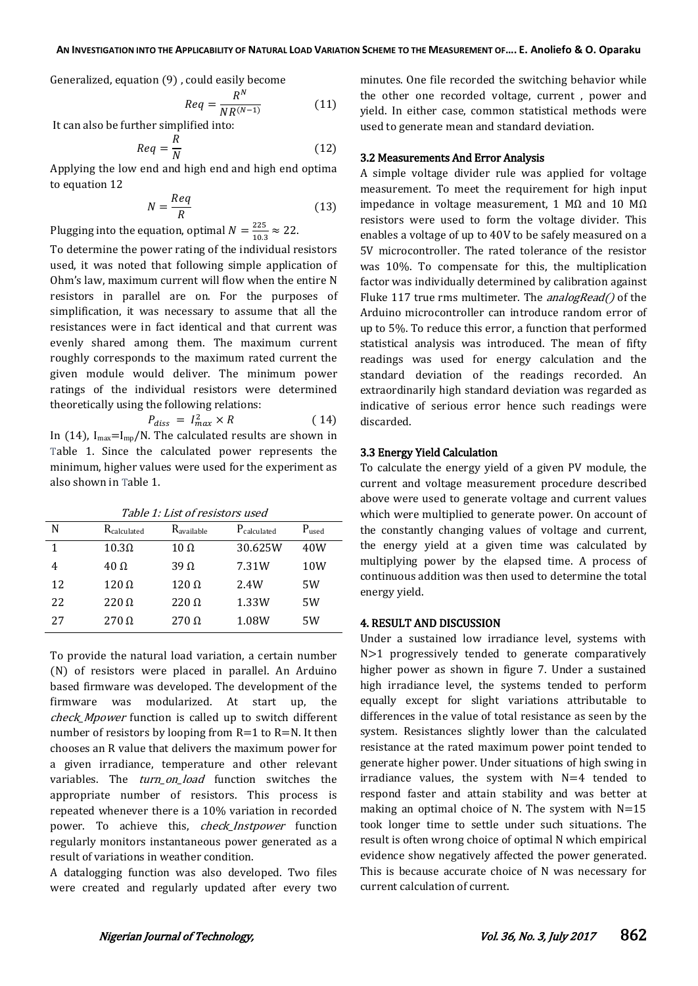Generalized, equation (9) , could easily become

$$
Req = \frac{R^N}{NR^{(N-1)}}\tag{11}
$$

It can also be further simplified into:

$$
Req = \frac{R}{N} \tag{12}
$$

Applying the low end and high end and high end optima to equation 12

$$
N = \frac{Req}{R}
$$
 (13)

Plugging into the equation, optimal  $N=\frac{2}{1}$  $\frac{223}{10.3} \approx 22.$ 

To determine the power rating of the individual resistors used, it was noted that following simple application of Ohm's law, maximum current will flow when the entire N resistors in parallel are on. For the purposes of simplification, it was necessary to assume that all the resistances were in fact identical and that current was evenly shared among them. The maximum current roughly corresponds to the maximum rated current the given module would deliver. The minimum power ratings of the individual resistors were determined theoretically using the following relations:

$$
P_{diss} = I_{max}^2 \times R \tag{14}
$$

In (14),  $I_{max} = I_{mp}/N$ . The calculated results are shown in Table 1. Since the calculated power represents the minimum, higher values were used for the experiment as also shown in Table 1.

Table 1: List of resistors used

| N  | R <sub>calculated</sub> | Ravailable   | P <sub>calculated</sub> | $P_{used}$      |
|----|-------------------------|--------------|-------------------------|-----------------|
|    | $10.3\Omega$            | $10 \Omega$  | 30.625W                 | 40W             |
| 4  | $40\ \Omega$            | $39\Omega$   | 7.31W                   | 10 <sub>W</sub> |
| 12 | $120 \Omega$            | $120 \Omega$ | 2.4W                    | 5W              |
| 22 | $220 \Omega$            | $220 \Omega$ | 1.33W                   | 5W              |
| 27 | $270 \Omega$            | $270 \Omega$ | 1.08W                   | 5W              |

To provide the natural load variation, a certain number (N) of resistors were placed in parallel. An Arduino based firmware was developed. The development of the firmware was modularized. At start up, the check\_Mpower function is called up to switch different number of resistors by looping from  $R=1$  to  $R=N$ . It then chooses an R value that delivers the maximum power for a given irradiance, temperature and other relevant variables. The *turn on load* function switches the appropriate number of resistors. This process is repeated whenever there is a 10% variation in recorded power. To achieve this, *check\_Instpower* function regularly monitors instantaneous power generated as a result of variations in weather condition.

A datalogging function was also developed. Two files were created and regularly updated after every two

minutes. One file recorded the switching behavior while the other one recorded voltage, current , power and yield. In either case, common statistical methods were used to generate mean and standard deviation.

#### 3.2 Measurements And Error Analysis

A simple voltage divider rule was applied for voltage measurement. To meet the requirement for high input impedance in voltage measurement, 1 MΩ and 10 MΩ resistors were used to form the voltage divider. This enables a voltage of up to 40V to be safely measured on a 5V microcontroller. The rated tolerance of the resistor was 10%. To compensate for this, the multiplication factor was individually determined by calibration against Fluke 117 true rms multimeter. The *analogRead()* of the Arduino microcontroller can introduce random error of up to 5%. To reduce this error, a function that performed statistical analysis was introduced. The mean of fifty readings was used for energy calculation and the standard deviation of the readings recorded. An extraordinarily high standard deviation was regarded as indicative of serious error hence such readings were discarded.

#### 3.3 Energy Yield Calculation

To calculate the energy yield of a given PV module, the current and voltage measurement procedure described above were used to generate voltage and current values which were multiplied to generate power. On account of the constantly changing values of voltage and current, the energy yield at a given time was calculated by multiplying power by the elapsed time. A process of continuous addition was then used to determine the total energy yield.

### 4. RESULT AND DISCUSSION

Under a sustained low irradiance level, systems with N>1 progressively tended to generate comparatively higher power as shown in figure 7. Under a sustained high irradiance level, the systems tended to perform equally except for slight variations attributable to differences in the value of total resistance as seen by the system. Resistances slightly lower than the calculated resistance at the rated maximum power point tended to generate higher power. Under situations of high swing in irradiance values, the system with N=4 tended to respond faster and attain stability and was better at making an optimal choice of N. The system with  $N=15$ took longer time to settle under such situations. The result is often wrong choice of optimal N which empirical evidence show negatively affected the power generated. This is because accurate choice of N was necessary for current calculation of current.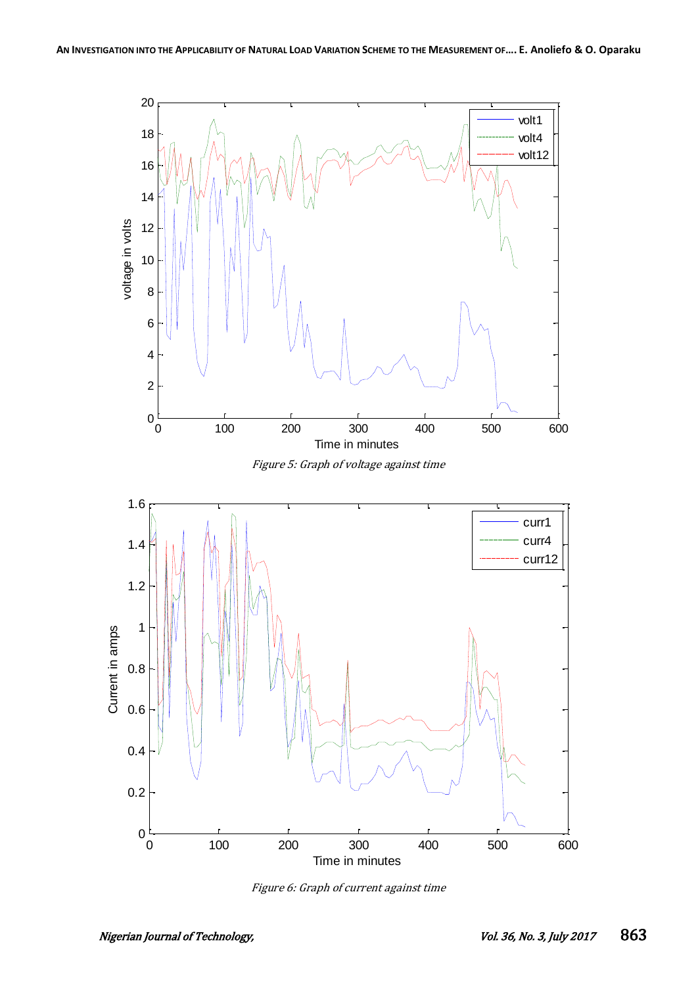

Figure 6: Graph of current against time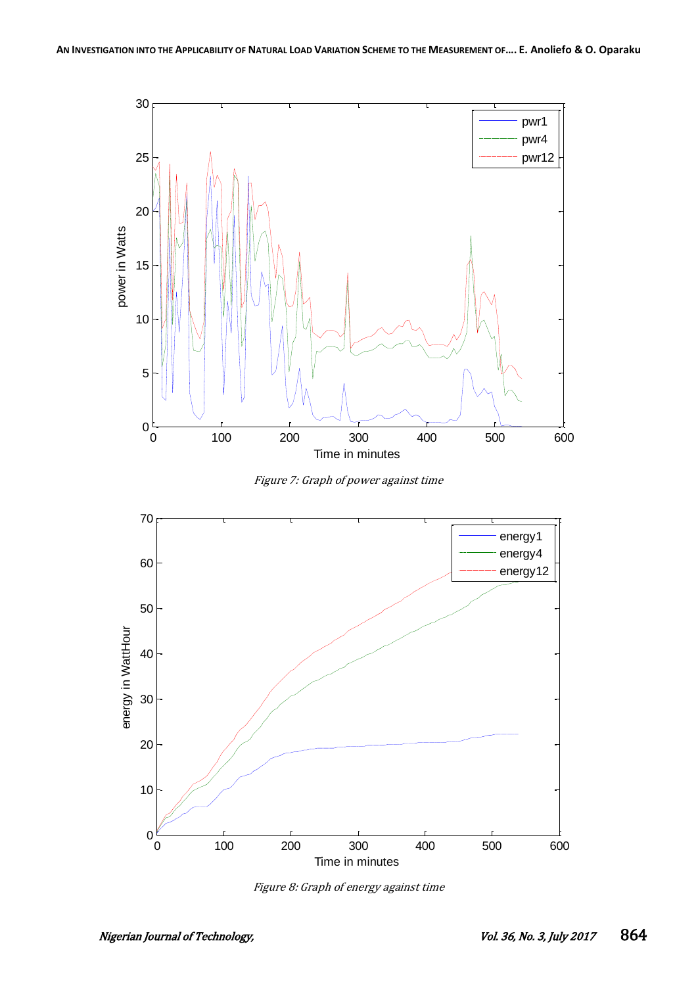

Figure 7: Graph of power against time



Figure 8: Graph of energy against time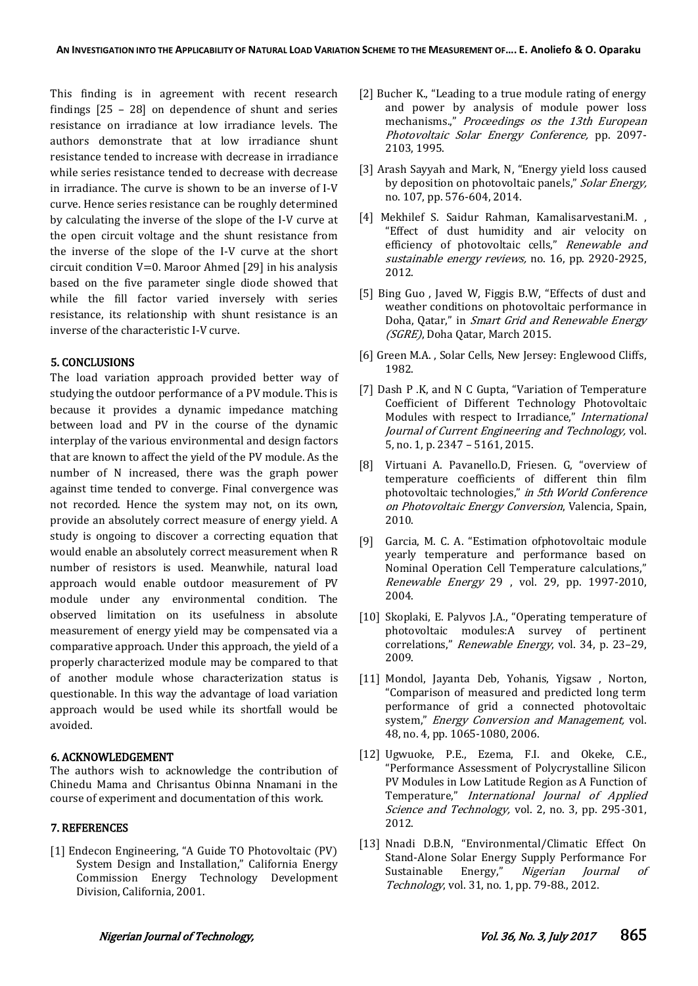This finding is in agreement with recent research findings [25 – 28] on dependence of shunt and series resistance on irradiance at low irradiance levels. The authors demonstrate that at low irradiance shunt resistance tended to increase with decrease in irradiance while series resistance tended to decrease with decrease in irradiance. The curve is shown to be an inverse of I-V curve. Hence series resistance can be roughly determined by calculating the inverse of the slope of the I-V curve at the open circuit voltage and the shunt resistance from the inverse of the slope of the I-V curve at the short circuit condition V=0. Maroor Ahmed [29] in his analysis based on the five parameter single diode showed that while the fill factor varied inversely with series resistance, its relationship with shunt resistance is an inverse of the characteristic I-V curve.

## 5. CONCLUSIONS

The load variation approach provided better way of studying the outdoor performance of a PV module. This is because it provides a dynamic impedance matching between load and PV in the course of the dynamic interplay of the various environmental and design factors that are known to affect the yield of the PV module. As the number of N increased, there was the graph power against time tended to converge. Final convergence was not recorded. Hence the system may not, on its own, provide an absolutely correct measure of energy yield. A study is ongoing to discover a correcting equation that would enable an absolutely correct measurement when R number of resistors is used. Meanwhile, natural load approach would enable outdoor measurement of PV module under any environmental condition. The observed limitation on its usefulness in absolute measurement of energy yield may be compensated via a comparative approach. Under this approach, the yield of a properly characterized module may be compared to that of another module whose characterization status is questionable. In this way the advantage of load variation approach would be used while its shortfall would be avoided.

### 6. ACKNOWLEDGEMENT

The authors wish to acknowledge the contribution of Chinedu Mama and Chrisantus Obinna Nnamani in the course of experiment and documentation of this work.

### 7. REFERENCES

[1] Endecon Engineering, "A Guide TO Photovoltaic (PV) System Design and Installation," California Energy Commission Energy Technology Development Division, California, 2001.

- [2] Bucher K., "Leading to a true module rating of energy and power by analysis of module power loss mechanisms.," Proceedings os the 13th European Photovoltaic Solar Energy Conference, pp. 2097- 2103, 1995.
- [3] Arash Sayyah and Mark, N, "Energy yield loss caused by deposition on photovoltaic panels," Solar Energy, no. 107, pp. 576-604, 2014.
- [4] Mekhilef S. Saidur Rahman, Kamalisarvestani.M. , "Effect of dust humidity and air velocity on efficiency of photovoltaic cells," Renewable and sustainable energy reviews, no. 16, pp. 2920-2925, 2012.
- [5] Bing Guo , Javed W, Figgis B.W, "Effects of dust and weather conditions on photovoltaic performance in Doha, Qatar," in Smart Grid and Renewable Energy (SGRE), Doha Qatar, March 2015.
- [6] Green M.A. , Solar Cells, New Jersey: Englewood Cliffs, 1982.
- [7] Dash P .K, and N C Gupta, "Variation of Temperature Coefficient of Different Technology Photovoltaic Modules with respect to Irradiance," International Journal of Current Engineering and Technology, vol. 5, no. 1, p. 2347 – 5161, 2015.
- [8] Virtuani A. Pavanello.D, Friesen. G, "overview of temperature coefficients of different thin film photovoltaic technologies," in 5th World Conference on Photovoltaic Energy Conversion, Valencia, Spain, 2010.
- [9] Garcia, M. C. A. "Estimation ofphotovoltaic module yearly temperature and performance based on Nominal Operation Cell Temperature calculations," Renewable Energy 29 , vol. 29, pp. 1997-2010, 2004.
- [10] Skoplaki, E. Palyvos J.A., "Operating temperature of photovoltaic modules:A survey of pertinent correlations," Renewable Energy, vol. 34, p. 23–29, 2009.
- [11] Mondol, Jayanta Deb, Yohanis, Yigsaw , Norton, "Comparison of measured and predicted long term performance of grid a connected photovoltaic system," Energy Conversion and Management, vol. 48, no. 4, pp. 1065-1080, 2006.
- [12] Ugwuoke, P.E., Ezema, F.I. and Okeke, C.E., "Performance Assessment of Polycrystalline Silicon PV Modules in Low Latitude Region as A Function of Temperature," International Journal of Applied Science and Technology, vol. 2, no. 3, pp. 295-301, 2012.
- [13] Nnadi D.B.N, "Environmental/Climatic Effect On Stand-Alone Solar Energy Supply Performance For Sustainable Energy," Nigerian Journal of Technology, vol. 31, no. 1, pp. 79-88., 2012.